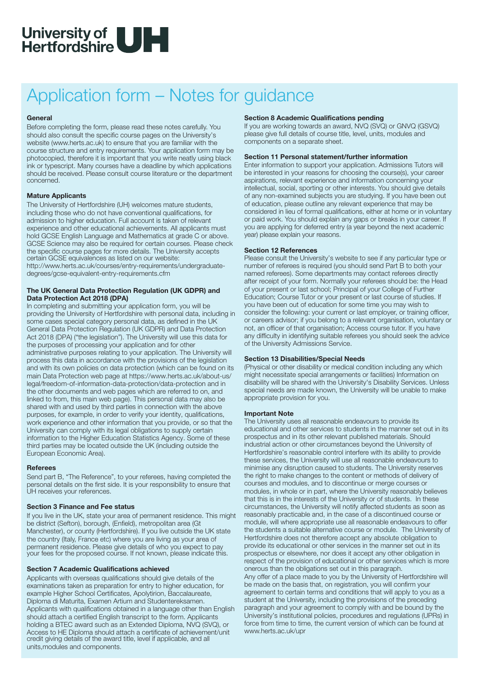

## Application form – Notes for guidance

#### **General**

Before completing the form, please read these notes carefully. You should also consult the specific course pages on the University's website (www.herts.ac.uk) to ensure that you are familiar with the course structure and entry requirements. Your application form may be photocopied, therefore it is important that you write neatly using black ink or typescript. Many courses have a deadline by which applications should be received. Please consult course literature or the department concerned.

### **Mature Applicants**

The University of Hertfordshire (UH) welcomes mature students, including those who do not have conventional qualifications, for admission to higher education. Full account is taken of relevant experience and other educational achievements. All applicants must hold GCSE English Language and Mathematics at grade C or above. GCSE Science may also be required for certain courses. Please check the specific course pages for more details. The University accepts certain GCSE equivalences as listed on our website: http://www.herts.ac.uk/courses/entry-requirements/undergraduatedegrees/gcse-equivalent-entry-requirements.cfm

### **The UK General Data Protection Regulation (UK GDPR) and Data Protection Act 2018 (DPA)**

In completing and submitting your application form, you will be providing the University of Hertfordshire with personal data, including in some cases special category personal data, as defined in the UK General Data Protection Regulation (UK GDPR) and Data Protection Act 2018 (DPA) ("the legislation"). The University will use this data for the purposes of processing your application and for other administrative purposes relating to your application. The University will process this data in accordance with the provisions of the legislation and with its own policies on data protection (which can be found on its main Data Protection web page at https://www.herts.ac.uk/about-us/ legal/freedom-of-information-data-protection/data-protection and in the other documents and web pages which are referred to on, and linked to from, this main web page). This personal data may also be shared with and used by third parties in connection with the above purposes, for example, in order to verify your identity, qualifications, work experience and other information that you provide, or so that the University can comply with its legal obligations to supply certain information to the Higher Education Statistics Agency. Some of these third parties may be located outside the UK (including outside the European Economic Area).

#### **Referees**

Send part B, "The Reference", to your referees, having completed the personal details on the first side. It is your responsibility to ensure that UH receives your references.

#### **Section 3 Finance and Fee status**

If you live in the UK, state your area of permanent residence. This might be district (Sefton), borough, (Enfield), metropolitan area (Gt Manchester), or county (Hertfordshire). If you live outside the UK state the country (Italy, France etc) where you are living as your area of permanent residence. Please give details of who you expect to pay your fees for the proposed course. If not known, please indicate this.

#### **Section 7 Academic Qualifications achieved**

Applicants with overseas qualifications should give details of the examinations taken as preparation for entry to higher education, for example Higher School Certificates, Apolytirion, Baccalaureate, Diploma di Maturita, Examen Artium and Studentereksamen. Applicants with qualifications obtained in a language other than English should attach a certified English transcript to the form. Applicants holding a BTEC award such as an Extended Diploma, NVQ (SVQ), or Access to HE Diploma should attach a certificate of achievement/unit credit giving details of the award title, level if applicable, and all units,modules and components.

### **Section 8 Academic Qualifications pending**

If you are working towards an award, NVQ (SVQ) or GNVQ (GSVQ) please give full details of course title, level, units, modules and components on a separate sheet.

### **Section 11 Personal statement/further information**

Enter information to support your application. Admissions Tutors will be interested in your reasons for choosing the course(s), your career aspirations, relevant experience and information concerning your intellectual, social, sporting or other interests. You should give details of any non-examined subjects you are studying. If you have been out of education, please outline any relevant experience that may be considered in lieu of formal qualifications, either at home or in voluntary or paid work. You should explain any gaps or breaks in your career. If you are applying for deferred entry (a year beyond the next academic year) please explain your reasons.

### **Section 12 References**

Please consult the University's website to see if any particular type or number of referees is required (you should send Part B to both your named referees). Some departments may contact referees directly after receipt of your form. Normally your referees should be: the Head of your present or last school; Principal of your College of Further Education; Course Tutor or your present or last course of studies. If you have been out of education for some time you may wish to consider the following: your current or last employer, or training officer, or careers advisor; if you belong to a relevant organisation, voluntary or not, an officer of that organisation; Access course tutor. If you have any difficulty in identifying suitable referees you should seek the advice of the University Admissions Service.

#### **Section 13 Disabilities/Special Needs**

(Physical or other disability or medical condition including any which might necessitate special arrangements or facilities) Information on disability will be shared with the University's Disability Services. Unless special needs are made known, the University will be unable to make appropriate provision for you.

#### **Important Note**

The University uses all reasonable endeavours to provide its educational and other services to students in the manner set out in its prospectus and in its other relevant published materials. Should industrial action or other circumstances beyond the University of Hertfordshire's reasonable control interfere with its ability to provide these services, the University will use all reasonable endeavours to minimise any disruption caused to students. The University reserves the right to make changes to the content or methods of delivery of courses and modules, and to discontinue or merge courses or modules, in whole or in part, where the University reasonably believes that this is in the interests of the University or of students. In these circumstances, the University will notify affected students as soon as reasonably practicable and, in the case of a discontinued course or module, will where appropriate use all reasonable endeavours to offer the students a suitable alternative course or module. The University of Hertfordshire does not therefore accept any absolute obligation to provide its educational or other services in the manner set out in its prospectus or elsewhere, nor does it accept any other obligation in respect of the provision of educational or other services which is more onerous than the obligations set out in this paragraph. Any offer of a place made to you by the University of Hertfordshire will be made on the basis that, on registration, you will confirm your agreement to certain terms and conditions that will apply to you as a student at the University, including the provisions of the preceding paragraph and your agreement to comply with and be bound by the University's institutional policies, procedures and regulations (UPRs) in force from time to time, the current version of which can be found at www.herts.ac.uk/upr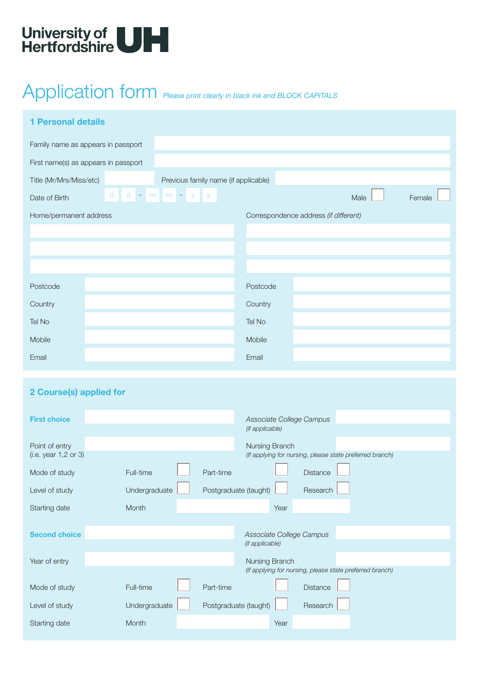

# Application form *Please print clearly in black ink and BLOCK CAPITALS*

| <b>1 Personal details</b>            |                                                 |                                      |                                             |      |                                       |                                                          |        |
|--------------------------------------|-------------------------------------------------|--------------------------------------|---------------------------------------------|------|---------------------------------------|----------------------------------------------------------|--------|
| Family name as appears in passport   |                                                 |                                      |                                             |      |                                       |                                                          |        |
| First name(s) as appears in passport |                                                 |                                      |                                             |      |                                       |                                                          |        |
| Title (Mr/Mrs/Miss/etc)              |                                                 | Previous family name (if applicable) |                                             |      |                                       |                                                          |        |
| d<br>Date of Birth                   | $m \mid m - y \mid$<br>d<br>$\sigma_{\rm{eff}}$ | $\mathbf{y}$                         |                                             |      |                                       | Male                                                     | Female |
| Home/permanent address               |                                                 |                                      |                                             |      | Correspondence address (if different) |                                                          |        |
|                                      |                                                 |                                      |                                             |      |                                       |                                                          |        |
|                                      |                                                 |                                      |                                             |      |                                       |                                                          |        |
|                                      |                                                 |                                      |                                             |      |                                       |                                                          |        |
| Postcode                             |                                                 |                                      | Postcode                                    |      |                                       |                                                          |        |
| Country                              |                                                 |                                      | Country                                     |      |                                       |                                                          |        |
| Tel No                               |                                                 |                                      | Tel No                                      |      |                                       |                                                          |        |
| Mobile                               |                                                 |                                      | Mobile                                      |      |                                       |                                                          |        |
| Email                                |                                                 |                                      | Email                                       |      |                                       |                                                          |        |
|                                      |                                                 |                                      |                                             |      |                                       |                                                          |        |
| 2 Course(s) applied for              |                                                 |                                      |                                             |      |                                       |                                                          |        |
|                                      |                                                 |                                      |                                             |      |                                       |                                                          |        |
| <b>First choice</b>                  |                                                 |                                      | Associate College Campus<br>(if applicable) |      |                                       |                                                          |        |
| Point of entry                       |                                                 |                                      | Nursing Branch                              |      |                                       |                                                          |        |
| (i.e. year 1,2 or 3)                 |                                                 |                                      |                                             |      |                                       | (If applying for nursing, please state preferred branch) |        |
| Mode of study                        | Full-time                                       | Part-time                            |                                             |      | Distance                              |                                                          |        |
| Level of study                       | Undergraduate                                   | Postgraduate (taught)                |                                             |      | Research                              |                                                          |        |
| Starting date                        | Month                                           |                                      |                                             | Year |                                       |                                                          |        |
| <b>Second choice</b>                 |                                                 |                                      | Associate College Campus                    |      |                                       |                                                          |        |
|                                      |                                                 |                                      | (if applicable)                             |      |                                       |                                                          |        |
| Year of entry                        |                                                 |                                      | Nursing Branch                              |      |                                       | (If applying for nursing, please state preferred branch) |        |
| Mode of study                        | Full-time                                       | Part-time                            |                                             |      | Distance                              |                                                          |        |
| Level of study                       | Undergraduate                                   | Postgraduate (taught)                |                                             |      | Research                              |                                                          |        |
| Starting date                        | Month                                           |                                      |                                             | Year |                                       |                                                          |        |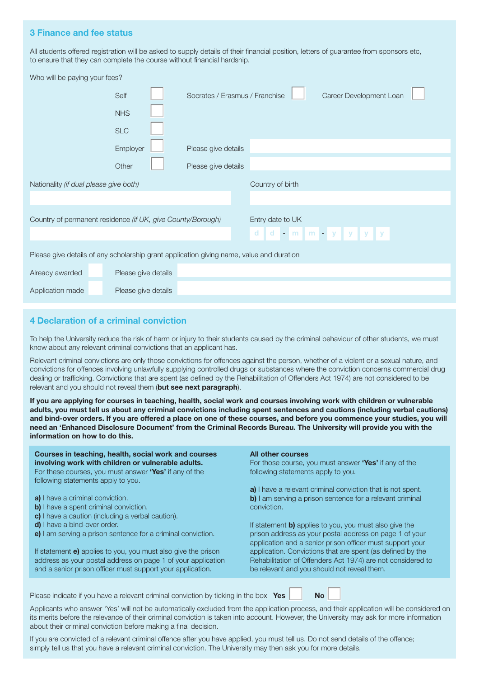## **3 Finance and fee status**

All students offered registration will be asked to supply details of their financial position, letters of guarantee from sponsors etc, to ensure that they can complete the course without financial hardship.

|                                                                                          | Who will be paying your fees? |                                |                  |                         |  |  |  |
|------------------------------------------------------------------------------------------|-------------------------------|--------------------------------|------------------|-------------------------|--|--|--|
|                                                                                          | Self                          | Socrates / Erasmus / Franchise |                  | Career Development Loan |  |  |  |
|                                                                                          | <b>NHS</b>                    |                                |                  |                         |  |  |  |
|                                                                                          | <b>SLC</b>                    |                                |                  |                         |  |  |  |
|                                                                                          | Employer                      | Please give details            |                  |                         |  |  |  |
|                                                                                          | Other                         | Please give details            |                  |                         |  |  |  |
| Nationality (if dual please give both)                                                   |                               |                                | Country of birth |                         |  |  |  |
|                                                                                          |                               |                                |                  |                         |  |  |  |
| Country of permanent residence (if UK, give County/Borough)                              |                               |                                | Entry date to UK |                         |  |  |  |
|                                                                                          |                               |                                |                  | dd - m m - y y y y      |  |  |  |
| Please give details of any scholarship grant application giving name, value and duration |                               |                                |                  |                         |  |  |  |
| Already awarded                                                                          | Please give details           |                                |                  |                         |  |  |  |
| Application made                                                                         | Please give details           |                                |                  |                         |  |  |  |

## **4 Declaration of a criminal conviction**

To help the University reduce the risk of harm or injury to their students caused by the criminal behaviour of other students, we must know about any relevant criminal convictions that an applicant has.

Relevant criminal convictions are only those convictions for offences against the person, whether of a violent or a sexual nature, and convictions for offences involving unlawfully supplying controlled drugs or substances where the conviction concerns commercial drug dealing or trafficking. Convictions that are spent (as defined by the Rehabilitation of Offenders Act 1974) are not considered to be relevant and you should not reveal them (**but see next paragraph**).

**If you are applying for courses in teaching, health, social work and courses involving work with children or vulnerable adults, you must tell us about any criminal convictions including spent sentences and cautions (including verbal cautions) and bind-over orders. If you are offered a place on one of these courses, and before you commence your studies, you will need an 'Enhanced Disclosure Document' from the Criminal Records Bureau. The University will provide you with the information on how to do this.**

#### **Courses in teaching, health, social work and courses involving work with children or vulnerable adults.** For these courses, you must answer **'Yes'** if any of the

following statements apply to you.

- **a)** I have a criminal conviction.
- **b)** I have a spent criminal conviction.
- **c)** I have a caution (including a verbal caution).
- **d)** I have a bind-over order.
- **e)** I am serving a prison sentence for a criminal conviction.

If statement **e)** applies to you, you must also give the prison address as your postal address on page 1 of your application and a senior prison officer must support your application.

#### **All other courses**

For those course, you must answer **'Yes'** if any of the following statements apply to you.

**a)** I have a relevant criminal conviction that is not spent. **b)** I am serving a prison sentence for a relevant criminal conviction.

If statement **b)** applies to you, you must also give the prison address as your postal address on page 1 of your application and a senior prison officer must support your application. Convictions that are spent (as defined by the Rehabilitation of Offenders Act 1974) are not considered to be relevant and you should not reveal them.

Please indicate if you have a relevant criminal conviction by ticking in the box **Yes No**

Applicants who answer 'Yes' will not be automatically excluded from the application process, and their application will be considered on its merits before the relevance of their criminal conviction is taken into account. However, the University may ask for more information about their criminal conviction before making a final decision.

If you are convicted of a relevant criminal offence after you have applied, you must tell us. Do not send details of the offence; simply tell us that you have a relevant criminal conviction. The University may then ask you for more details.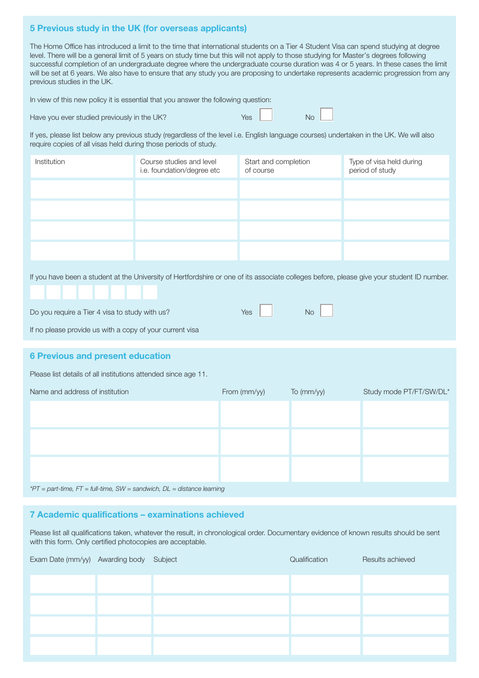## **5 Previous study in the UK (for overseas applicants)**

The Home Office has introduced a limit to the time that international students on a Tier 4 Student Visa can spend studying at degree level. There will be a general limit of 5 years on study time but this will not apply to those studying for Master's degrees following successful completion of an undergraduate degree where the undergraduate course duration was 4 or 5 years. In these cases the limit will be set at 6 years. We also have to ensure that any study you are proposing to undertake represents academic progression from any previous studies in the UK.

In view of this new policy it is essential that you answer the following question:

| Have you ever studied previously in the UK? | Yes |  | No |
|---------------------------------------------|-----|--|----|
|---------------------------------------------|-----|--|----|

If yes, please list below any previous study (regardless of the level i.e. English language courses) undertaken in the UK. We will also require copies of all visas held during those periods of study.

| Institution | Course studies and level<br>i.e. foundation/degree etc | Start and completion<br>of course | Type of visa held during<br>period of study |
|-------------|--------------------------------------------------------|-----------------------------------|---------------------------------------------|
|             |                                                        |                                   |                                             |
|             |                                                        |                                   |                                             |
|             |                                                        |                                   |                                             |
|             |                                                        |                                   |                                             |

If you have been a student at the University of Hertfordshire or one of its associate colleges before, please give your student ID number.

| Do you require a Tier 4 visa to study with us? | Yes | No |
|------------------------------------------------|-----|----|
|------------------------------------------------|-----|----|

If no please provide us with a copy of your current visa

## **6 Previous and present education**

Please list details of all institutions attended since age 11.

| Name and address of institution                                               | From (mm/yy) | To (mm/yy) | Study mode PT/FT/SW/DL* |
|-------------------------------------------------------------------------------|--------------|------------|-------------------------|
|                                                                               |              |            |                         |
|                                                                               |              |            |                         |
|                                                                               |              |            |                         |
|                                                                               |              |            |                         |
|                                                                               |              |            |                         |
|                                                                               |              |            |                         |
| *PT = part-time, $FT = full$ -time, $SW =$ sandwich, $DL =$ distance learning |              |            |                         |

## **7 Academic qualifications – examinations achieved**

Please list all qualifications taken, whatever the result, in chronological order. Documentary evidence of known results should be sent with this form. Only certified photocopies are acceptable.

| Exam Date (mm/yy) Awarding body Subject |  | Qualification | Results achieved |
|-----------------------------------------|--|---------------|------------------|
|                                         |  |               |                  |
|                                         |  |               |                  |
|                                         |  |               |                  |
|                                         |  |               |                  |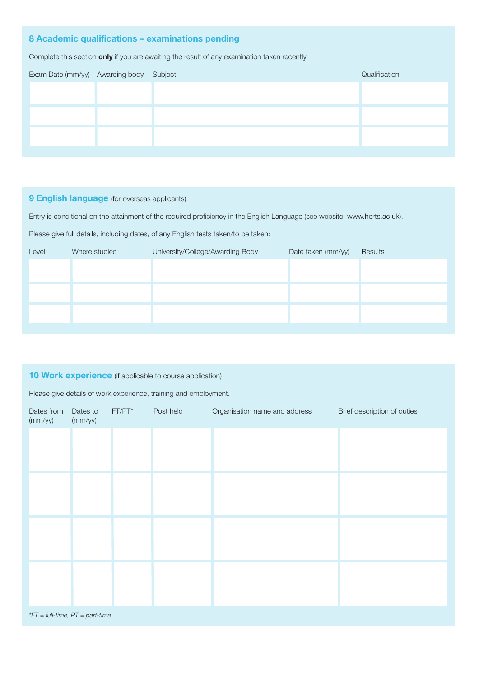## **8 Academic qualifications – examinations pending**

Complete this section **only** if you are awaiting the result of any examination taken recently.

| Exam Date (mm/yy) Awarding body Subject |  | Qualification |
|-----------------------------------------|--|---------------|
|                                         |  |               |
|                                         |  |               |
|                                         |  |               |
|                                         |  |               |
|                                         |  |               |
|                                         |  |               |
|                                         |  |               |

## **9 English language** (for overseas applicants)

Entry is conditional on the attainment of the required proficiency in the English Language (see website: www.herts.ac.uk).

Please give full details, including dates, of any English tests taken/to be taken:

| Level | Where studied | University/College/Awarding Body | Date taken (mm/yy) | Results |
|-------|---------------|----------------------------------|--------------------|---------|
|       |               |                                  |                    |         |
|       |               |                                  |                    |         |
|       |               |                                  |                    |         |
|       |               |                                  |                    |         |
|       |               |                                  |                    |         |
|       |               |                                  |                    |         |

## **10 Work experience** (if applicable to course application)

Please give details of work experience, training and employment.

| Dates from<br>(mm/yy)             | Dates to<br>(mm/yy) | $FT/PT^*$ | Post held | Organisation name and address | Brief description of duties |
|-----------------------------------|---------------------|-----------|-----------|-------------------------------|-----------------------------|
|                                   |                     |           |           |                               |                             |
|                                   |                     |           |           |                               |                             |
|                                   |                     |           |           |                               |                             |
|                                   |                     |           |           |                               |                             |
|                                   |                     |           |           |                               |                             |
|                                   |                     |           |           |                               |                             |
|                                   |                     |           |           |                               |                             |
|                                   |                     |           |           |                               |                             |
| $*FT = full-time, PT = part-time$ |                     |           |           |                               |                             |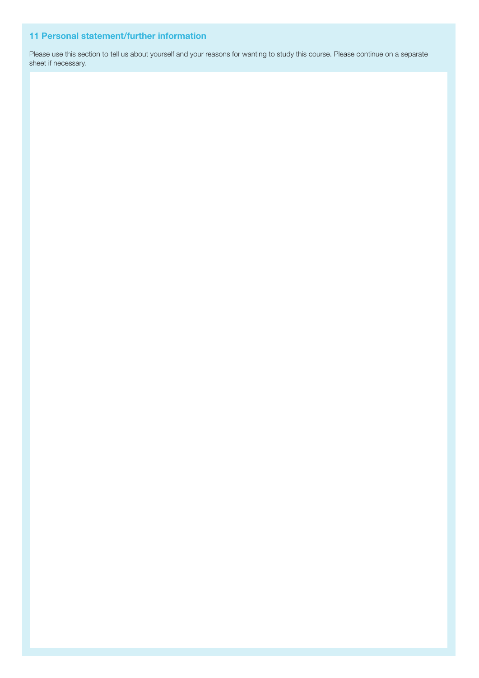## **11 Personal statement/further information**

Please use this section to tell us about yourself and your reasons for wanting to study this course. Please continue on a separate sheet if necessary.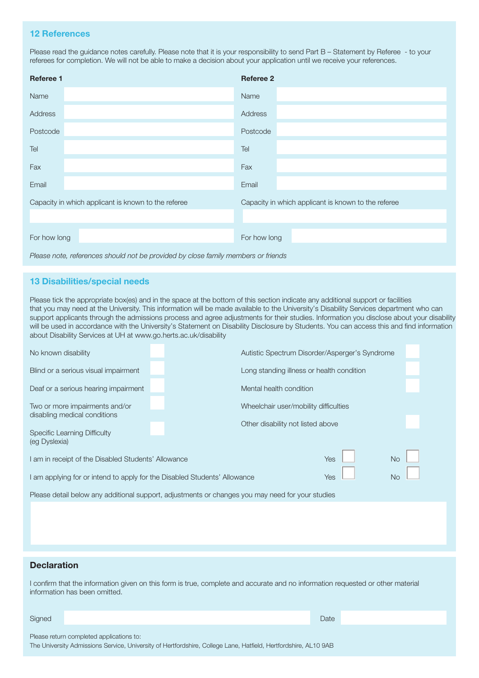## **12 References**

Please read the guidance notes carefully. Please note that it is your responsibility to send Part B – Statement by Referee - to your referees for completion. We will not be able to make a decision about your application until we receive your references.

| <b>Referee 1</b>                                    | <b>Referee 2</b>                                    |
|-----------------------------------------------------|-----------------------------------------------------|
| Name                                                | Name                                                |
| Address                                             | Address                                             |
| Postcode                                            | Postcode                                            |
| Tel                                                 | Tel                                                 |
| Fax                                                 | Fax                                                 |
| Email                                               | Email                                               |
| Capacity in which applicant is known to the referee | Capacity in which applicant is known to the referee |
|                                                     |                                                     |
| For how long                                        | For how long                                        |
|                                                     |                                                     |

*Please note, references should not be provided by close family members or friends*

## **13 Disabilities/special needs**

Please tick the appropriate box(es) and in the space at the bottom of this section indicate any additional support or facilities that you may need at the University. This information will be made available to the University's Disability Services department who can support applicants through the admissions process and agree adjustments for their studies. Information you disclose about your disability will be used in accordance with the University's Statement on Disability Disclosure by Students. You can access this and find information about Disability Services at UH at www.go.herts.ac.uk/disability

| No known disability                                                                              | Autistic Spectrum Disorder/Asperger's Syndrome |                                   |  |  |  |
|--------------------------------------------------------------------------------------------------|------------------------------------------------|-----------------------------------|--|--|--|
| Blind or a serious visual impairment                                                             | Long standing illness or health condition      |                                   |  |  |  |
| Deaf or a serious hearing impairment                                                             |                                                | Mental health condition           |  |  |  |
| Two or more impairments and/or                                                                   | Wheelchair user/mobility difficulties          |                                   |  |  |  |
| disabling medical conditions                                                                     |                                                | Other disability not listed above |  |  |  |
| <b>Specific Learning Difficulty</b><br>(eg Dyslexia)                                             |                                                |                                   |  |  |  |
| I am in receipt of the Disabled Students' Allowance                                              | Yes                                            | <b>No</b>                         |  |  |  |
| <b>No</b><br>Yes<br>I am applying for or intend to apply for the Disabled Students' Allowance    |                                                |                                   |  |  |  |
| Please detail below any additional support, adjustments or changes you may need for your studies |                                                |                                   |  |  |  |
|                                                                                                  |                                                |                                   |  |  |  |
|                                                                                                  |                                                |                                   |  |  |  |
|                                                                                                  |                                                |                                   |  |  |  |

## **Declaration**

I confirm that the information given on this form is true, complete and accurate and no information requested or other material information has been omitted.

### Signed Date and Date and Date and Date and Date and Date and Date and Date and Date and Date and Date and Date

Please return completed applications to:

The University Admissions Service, University of Hertfordshire, College Lane, Hatfield, Hertfordshire, AL10 9AB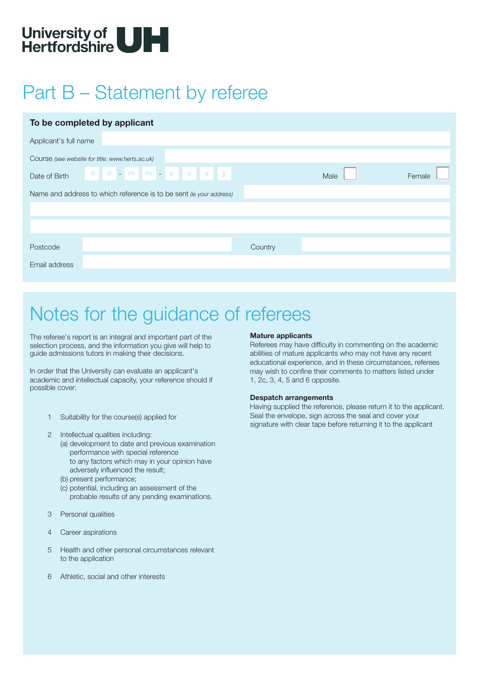

# Part B – Statement by referee

| To be completed by applicant                                        |  |         |      |        |  |  |
|---------------------------------------------------------------------|--|---------|------|--------|--|--|
| Applicant's full name                                               |  |         |      |        |  |  |
| Course (see website for title: www.herts.ac.uk)                     |  |         |      |        |  |  |
| Date of Birth ddd m m y y y y                                       |  |         | Male | Female |  |  |
| Name and address to which reference is to be sent (ie your address) |  |         |      |        |  |  |
|                                                                     |  |         |      |        |  |  |
|                                                                     |  |         |      |        |  |  |
| Postcode                                                            |  | Country |      |        |  |  |
| Email address                                                       |  |         |      |        |  |  |

## Notes for the guidance of referees

The referee's report is an integral and important part of the selection process, and the information you give will help to guide admissions tutors in making their decisions.

In order that the University can evaluate an applicant's academic and intellectual capacity, your reference should if possible cover:

- 1 Suitability for the course(s) applied for
- 2 Intellectual qualities including:
	- (a) development to date and previous examination performance with special reference to any factors which may in your opinion have adversely influenced the result;
	- (b) present performance;
	- (c) potential, including an assessment of the probable results of any pending examinations.
- 3 Personal qualities
- 4 Career aspirations
- 5 Health and other personal circumstances relevant to the application
- 6 Athletic, social and other interests

#### **Mature applicants**

Referees may have difficulty in commenting on the academic abilities of mature applicants who may not have any recent educational experience, and in these circumstances, referees may wish to confine their comments to matters listed under 1, 2c, 3, 4, 5 and 6 opposite.

#### **Despatch arrangements**

Having supplied the reference, please return it to the applicant. Seal the envelope, sign across the seal and cover your signature with clear tape before returning it to the applicant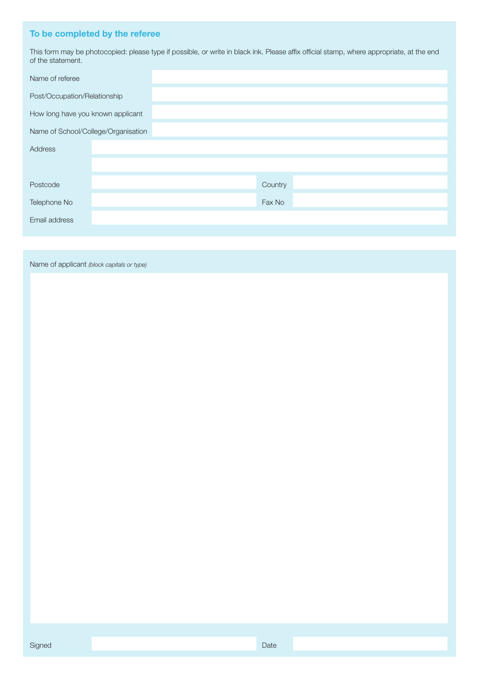## **To be completed by the referee**

This form may be photocopied: please type if possible, or write in black ink. Please affix official stamp, where appropriate, at the end of the statement.

| Name of referee                     |  |         |  |
|-------------------------------------|--|---------|--|
| Post/Occupation/Relationship        |  |         |  |
| How long have you known applicant   |  |         |  |
| Name of School/College/Organisation |  |         |  |
| Address                             |  |         |  |
|                                     |  |         |  |
| Postcode                            |  | Country |  |
| Telephone No                        |  | Fax No  |  |
| Email address                       |  |         |  |
|                                     |  |         |  |

Name of applicant *(block capitals or type)*